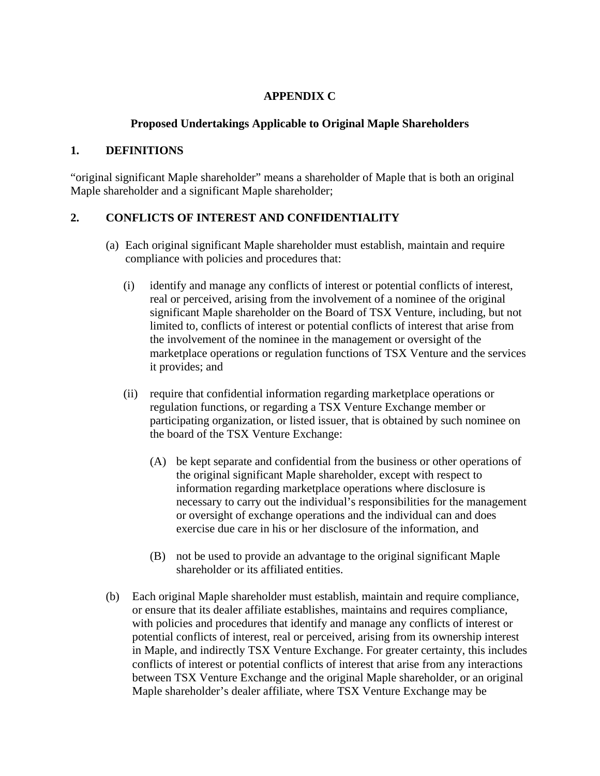## **APPENDIX C**

## **Proposed Undertakings Applicable to Original Maple Shareholders**

## **1. DEFINITIONS**

"original significant Maple shareholder" means a shareholder of Maple that is both an original Maple shareholder and a significant Maple shareholder;

## **2. CONFLICTS OF INTEREST AND CONFIDENTIALITY**

- (a) Each original significant Maple shareholder must establish, maintain and require compliance with policies and procedures that:
	- (i) identify and manage any conflicts of interest or potential conflicts of interest, real or perceived, arising from the involvement of a nominee of the original significant Maple shareholder on the Board of TSX Venture, including, but not limited to, conflicts of interest or potential conflicts of interest that arise from the involvement of the nominee in the management or oversight of the marketplace operations or regulation functions of TSX Venture and the services it provides; and
	- (ii) require that confidential information regarding marketplace operations or regulation functions, or regarding a TSX Venture Exchange member or participating organization, or listed issuer, that is obtained by such nominee on the board of the TSX Venture Exchange:
		- (A) be kept separate and confidential from the business or other operations of the original significant Maple shareholder, except with respect to information regarding marketplace operations where disclosure is necessary to carry out the individual's responsibilities for the management or oversight of exchange operations and the individual can and does exercise due care in his or her disclosure of the information, and
		- (B) not be used to provide an advantage to the original significant Maple shareholder or its affiliated entities.
- (b) Each original Maple shareholder must establish, maintain and require compliance, or ensure that its dealer affiliate establishes, maintains and requires compliance, with policies and procedures that identify and manage any conflicts of interest or potential conflicts of interest, real or perceived, arising from its ownership interest in Maple, and indirectly TSX Venture Exchange. For greater certainty, this includes conflicts of interest or potential conflicts of interest that arise from any interactions between TSX Venture Exchange and the original Maple shareholder, or an original Maple shareholder's dealer affiliate, where TSX Venture Exchange may be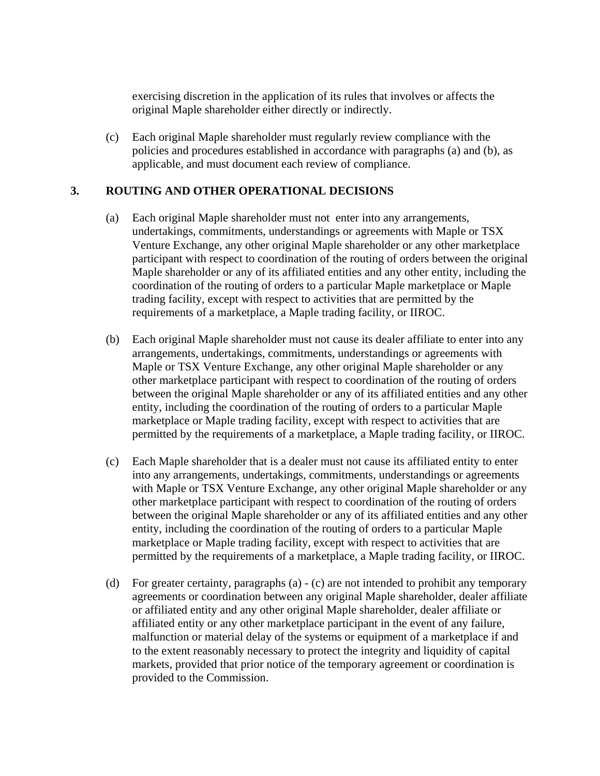exercising discretion in the application of its rules that involves or affects the original Maple shareholder either directly or indirectly.

(c) Each original Maple shareholder must regularly review compliance with the policies and procedures established in accordance with paragraphs (a) and (b), as applicable, and must document each review of compliance.

### **3. ROUTING AND OTHER OPERATIONAL DECISIONS**

- (a) Each original Maple shareholder must not enter into any arrangements, undertakings, commitments, understandings or agreements with Maple or TSX Venture Exchange, any other original Maple shareholder or any other marketplace participant with respect to coordination of the routing of orders between the original Maple shareholder or any of its affiliated entities and any other entity, including the coordination of the routing of orders to a particular Maple marketplace or Maple trading facility, except with respect to activities that are permitted by the requirements of a marketplace, a Maple trading facility, or IIROC.
- (b) Each original Maple shareholder must not cause its dealer affiliate to enter into any arrangements, undertakings, commitments, understandings or agreements with Maple or TSX Venture Exchange, any other original Maple shareholder or any other marketplace participant with respect to coordination of the routing of orders between the original Maple shareholder or any of its affiliated entities and any other entity, including the coordination of the routing of orders to a particular Maple marketplace or Maple trading facility, except with respect to activities that are permitted by the requirements of a marketplace, a Maple trading facility, or IIROC.
- (c) Each Maple shareholder that is a dealer must not cause its affiliated entity to enter into any arrangements, undertakings, commitments, understandings or agreements with Maple or TSX Venture Exchange, any other original Maple shareholder or any other marketplace participant with respect to coordination of the routing of orders between the original Maple shareholder or any of its affiliated entities and any other entity, including the coordination of the routing of orders to a particular Maple marketplace or Maple trading facility, except with respect to activities that are permitted by the requirements of a marketplace, a Maple trading facility, or IIROC.
- (d) For greater certainty, paragraphs (a) (c) are not intended to prohibit any temporary agreements or coordination between any original Maple shareholder, dealer affiliate or affiliated entity and any other original Maple shareholder, dealer affiliate or affiliated entity or any other marketplace participant in the event of any failure, malfunction or material delay of the systems or equipment of a marketplace if and to the extent reasonably necessary to protect the integrity and liquidity of capital markets, provided that prior notice of the temporary agreement or coordination is provided to the Commission.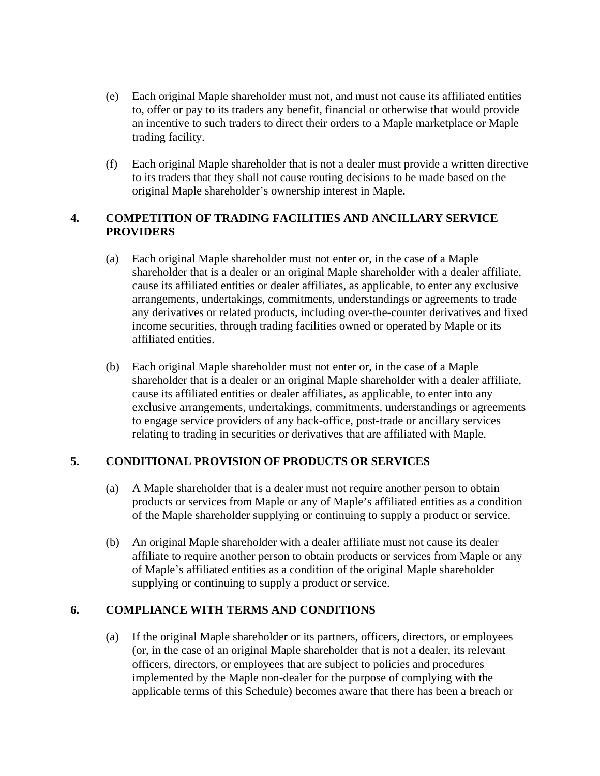- (e) Each original Maple shareholder must not, and must not cause its affiliated entities to, offer or pay to its traders any benefit, financial or otherwise that would provide an incentive to such traders to direct their orders to a Maple marketplace or Maple trading facility.
- (f) Each original Maple shareholder that is not a dealer must provide a written directive to its traders that they shall not cause routing decisions to be made based on the original Maple shareholder's ownership interest in Maple.

### **4. COMPETITION OF TRADING FACILITIES AND ANCILLARY SERVICE PROVIDERS**

- (a) Each original Maple shareholder must not enter or, in the case of a Maple shareholder that is a dealer or an original Maple shareholder with a dealer affiliate, cause its affiliated entities or dealer affiliates, as applicable, to enter any exclusive arrangements, undertakings, commitments, understandings or agreements to trade any derivatives or related products, including over-the-counter derivatives and fixed income securities, through trading facilities owned or operated by Maple or its affiliated entities.
- (b) Each original Maple shareholder must not enter or, in the case of a Maple shareholder that is a dealer or an original Maple shareholder with a dealer affiliate, cause its affiliated entities or dealer affiliates, as applicable, to enter into any exclusive arrangements, undertakings, commitments, understandings or agreements to engage service providers of any back-office, post-trade or ancillary services relating to trading in securities or derivatives that are affiliated with Maple.

## **5. CONDITIONAL PROVISION OF PRODUCTS OR SERVICES**

- (a) A Maple shareholder that is a dealer must not require another person to obtain products or services from Maple or any of Maple's affiliated entities as a condition of the Maple shareholder supplying or continuing to supply a product or service.
- (b) An original Maple shareholder with a dealer affiliate must not cause its dealer affiliate to require another person to obtain products or services from Maple or any of Maple's affiliated entities as a condition of the original Maple shareholder supplying or continuing to supply a product or service.

# **6. COMPLIANCE WITH TERMS AND CONDITIONS**

(a) If the original Maple shareholder or its partners, officers, directors, or employees (or, in the case of an original Maple shareholder that is not a dealer, its relevant officers, directors, or employees that are subject to policies and procedures implemented by the Maple non-dealer for the purpose of complying with the applicable terms of this Schedule) becomes aware that there has been a breach or